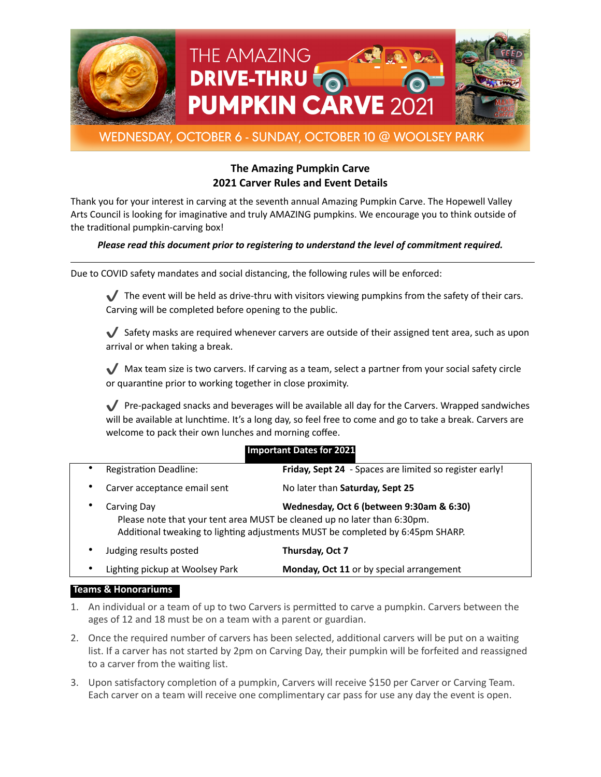



# WEDNESDAY, OCTOBER 6 - SUNDAY, OCTOBER 10 @ WOOLSEY PARK

# **The Amazing Pumpkin Carve 2021 Carver Rules and Event Details**

Thank you for your interest in carving at the seventh annual Amazing Pumpkin Carve. The Hopewell Valley Arts Council is looking for imaginative and truly AMAZING pumpkins. We encourage you to think outside of the traditional pumpkin-carving box!

## *Please read this document prior to registering to understand the level of commitment required.*

Due to COVID safety mandates and social distancing, the following rules will be enforced:

The event will be held as drive-thru with visitors viewing pumpkins from the safety of their cars. Carving will be completed before opening to the public.

 $\blacktriangledown$  Safety masks are required whenever carvers are outside of their assigned tent area, such as upon arrival or when taking a break.

✔ Max team size is two carvers. If carving as a team, select a partner from your social safety circle or quarantine prior to working together in close proximity.

 $\blacktriangledown$  Pre-packaged snacks and beverages will be available all day for the Carvers. Wrapped sandwiches will be available at lunchtime. It's a long day, so feel free to come and go to take a break. Carvers are welcome to pack their own lunches and morning coffee.

| $\bullet$ | <b>Registration Deadline:</b>                                                                                                                                                                                         | Friday, Sept 24 - Spaces are limited so register early! |
|-----------|-----------------------------------------------------------------------------------------------------------------------------------------------------------------------------------------------------------------------|---------------------------------------------------------|
| ٠         | Carver acceptance email sent                                                                                                                                                                                          | No later than Saturday, Sept 25                         |
|           | Wednesday, Oct 6 (between 9:30am & 6:30)<br>Carving Day<br>Please note that your tent area MUST be cleaned up no later than 6:30pm.<br>Additional tweaking to lighting adjustments MUST be completed by 6:45pm SHARP. |                                                         |
| ٠         | Judging results posted                                                                                                                                                                                                | Thursday, Oct 7                                         |
| $\bullet$ | Lighting pickup at Woolsey Park                                                                                                                                                                                       | Monday, Oct 11 or by special arrangement                |

## **Important Dates for 2021**

#### **Teams & Honorariums**

- 1. An individual or a team of up to two Carvers is permitted to carve a pumpkin. Carvers between the ages of 12 and 18 must be on a team with a parent or guardian.
- 2. Once the required number of carvers has been selected, additional carvers will be put on a waiting list. If a carver has not started by 2pm on Carving Day, their pumpkin will be forfeited and reassigned to a carver from the waiting list.
- 3. Upon satisfactory completion of a pumpkin, Carvers will receive \$150 per Carver or Carving Team. Each carver on a team will receive one complimentary car pass for use any day the event is open.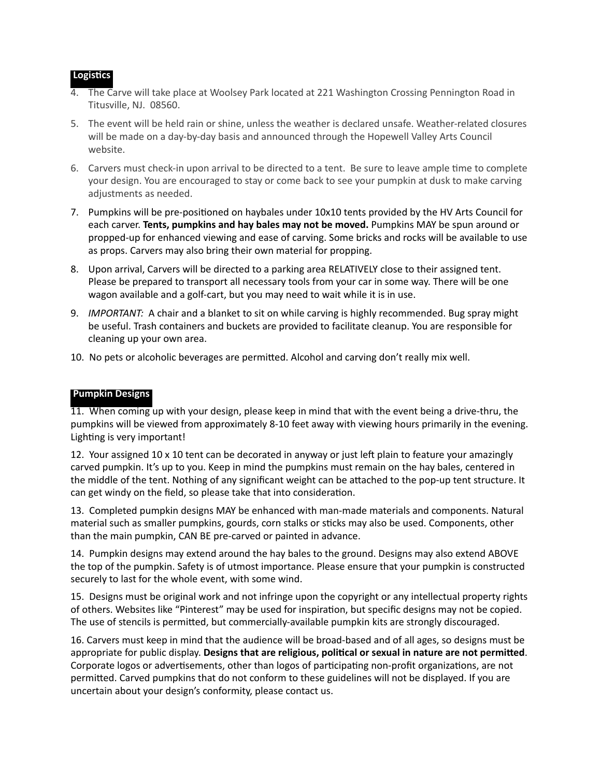## **Logistics**

- 4. The Carve will take place at Woolsey Park located at 221 Washington Crossing Pennington Road in Titusville, NJ. 08560.
- 5. The event will be held rain or shine, unless the weather is declared unsafe. Weather-related closures will be made on a day-by-day basis and announced through the Hopewell Valley Arts Council website.
- 6. Carvers must check-in upon arrival to be directed to a tent. Be sure to leave ample time to complete your design. You are encouraged to stay or come back to see your pumpkin at dusk to make carving adjustments as needed.
- 7. Pumpkins will be pre-positioned on haybales under 10x10 tents provided by the HV Arts Council for each carver. **Tents, pumpkins and hay bales may not be moved.** Pumpkins MAY be spun around or propped-up for enhanced viewing and ease of carving. Some bricks and rocks will be available to use as props. Carvers may also bring their own material for propping.
- 8. Upon arrival, Carvers will be directed to a parking area RELATIVELY close to their assigned tent. Please be prepared to transport all necessary tools from your car in some way. There will be one wagon available and a golf-cart, but you may need to wait while it is in use.
- 9. *IMPORTANT:* A chair and a blanket to sit on while carving is highly recommended. Bug spray might be useful. Trash containers and buckets are provided to facilitate cleanup. You are responsible for cleaning up your own area.
- 10. No pets or alcoholic beverages are permitted. Alcohol and carving don't really mix well.

### **Pumpkin Designs**

11. When coming up with your design, please keep in mind that with the event being a drive-thru, the pumpkins will be viewed from approximately 8-10 feet away with viewing hours primarily in the evening. Lighting is very important!

12. Your assigned 10 x 10 tent can be decorated in anyway or just left plain to feature your amazingly carved pumpkin. It's up to you. Keep in mind the pumpkins must remain on the hay bales, centered in the middle of the tent. Nothing of any significant weight can be attached to the pop-up tent structure. It can get windy on the field, so please take that into consideration.

13. Completed pumpkin designs MAY be enhanced with man-made materials and components. Natural material such as smaller pumpkins, gourds, corn stalks or sticks may also be used. Components, other than the main pumpkin, CAN BE pre-carved or painted in advance.

14. Pumpkin designs may extend around the hay bales to the ground. Designs may also extend ABOVE the top of the pumpkin. Safety is of utmost importance. Please ensure that your pumpkin is constructed securely to last for the whole event, with some wind.

15. Designs must be original work and not infringe upon the copyright or any intellectual property rights of others. Websites like "Pinterest" may be used for inspiration, but specific designs may not be copied. The use of stencils is permitted, but commercially-available pumpkin kits are strongly discouraged.

16. Carvers must keep in mind that the audience will be broad-based and of all ages, so designs must be appropriate for public display. **Designs that are religious, political or sexual in nature are not permitted**. Corporate logos or advertisements, other than logos of participating non-profit organizations, are not permitted. Carved pumpkins that do not conform to these guidelines will not be displayed. If you are uncertain about your design's conformity, please contact us.